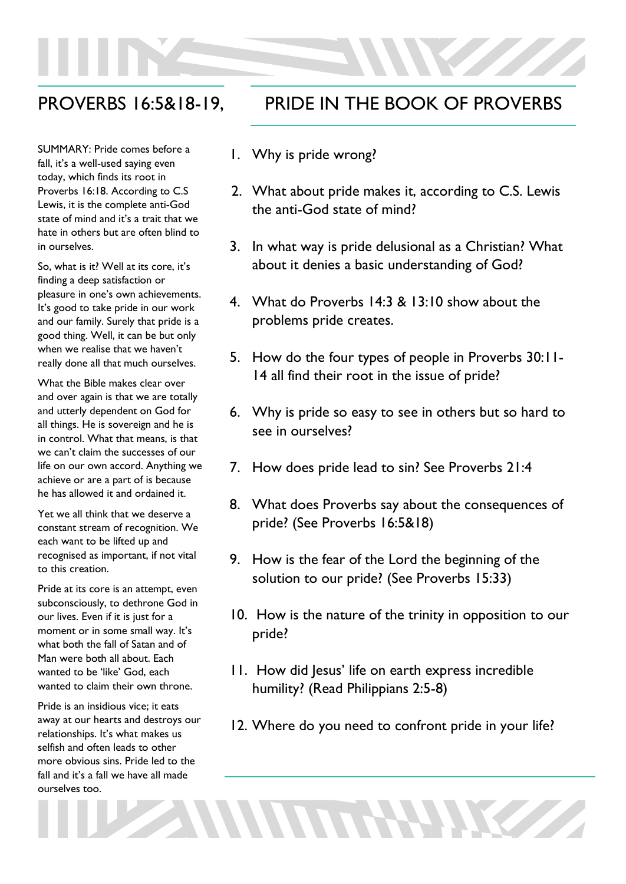## PROVERBS 16:5&18-19,

SUMMARY: Pride comes before a fall, it's a well-used saying even today, which finds its root in Proverbs 16:18. According to C.S Lewis, it is the complete anti-God state of mind and it's a trait that we hate in others but are often blind to in ourselves.

So, what is it? Well at its core, it's finding a deep satisfaction or pleasure in one's own achievements. It's good to take pride in our work and our family. Surely that pride is a good thing. Well, it can be but only when we realise that we haven't really done all that much ourselves.

What the Bible makes clear over and over again is that we are totally and utterly dependent on God for all things. He is sovereign and he is in control. What that means, is that we can't claim the successes of our life on our own accord. Anything we achieve or are a part of is because he has allowed it and ordained it.

Yet we all think that we deserve a constant stream of recognition. We each want to be lifted up and recognised as important, if not vital to this creation.

Pride at its core is an attempt, even subconsciously, to dethrone God in our lives. Even if it is just for a moment or in some small way. It's what both the fall of Satan and of Man were both all about. Each wanted to be 'like' God, each wanted to claim their own throne.

Pride is an insidious vice; it eats away at our hearts and destroys our relationships. It's what makes us selfish and often leads to other more obvious sins. Pride led to the fall and it's a fall we have all made ourselves too.

## PRIDE IN THE BOOK OF PROVERBS

- 1. Why is pride wrong?
- 2. What about pride makes it, according to C.S. Lewis the anti-God state of mind?
- 3. In what way is pride delusional as a Christian? What about it denies a basic understanding of God?
- 4. What do Proverbs 14:3 & 13:10 show about the problems pride creates.
- 5. How do the four types of people in Proverbs 30:11- 14 all find their root in the issue of pride?
- 6. Why is pride so easy to see in others but so hard to see in ourselves?
- 7. How does pride lead to sin? See Proverbs 21:4
- 8. What does Proverbs say about the consequences of pride? (See Proverbs 16:5&18)
- 9. How is the fear of the Lord the beginning of the solution to our pride? (See Proverbs 15:33)
- 10. How is the nature of the trinity in opposition to our pride?
- 11. How did Jesus' life on earth express incredible humility? (Read Philippians 2:5-8)

**TANA TARANTES** 

12. Where do you need to confront pride in your life?